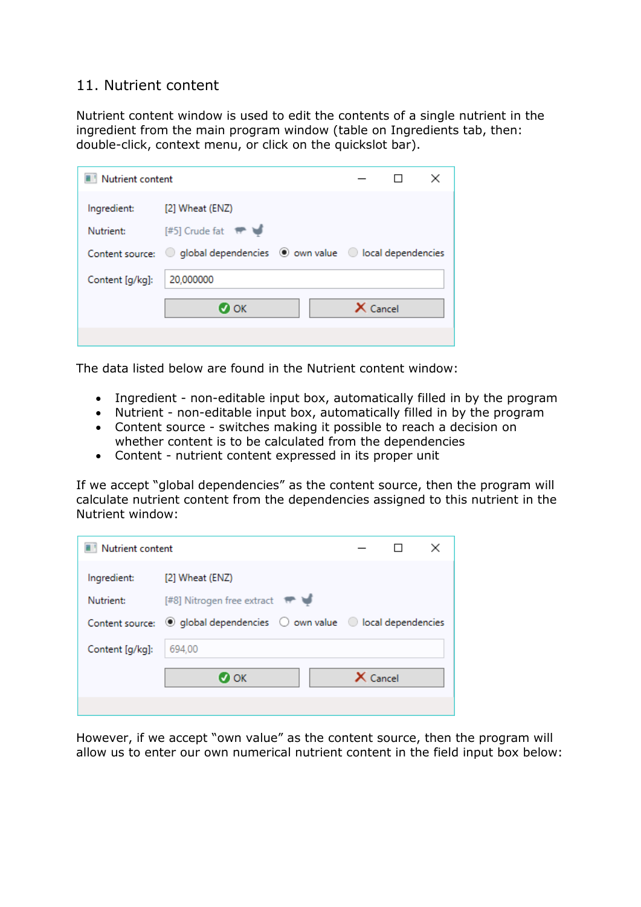## 11. Nutrient content

Nutrient content window is used to edit the contents of a single nutrient in the ingredient from the main program window (table on Ingredients tab, then: double-click, context menu, or click on the quickslot bar).

| Nutrient content |                                                                         |            | × |
|------------------|-------------------------------------------------------------------------|------------|---|
| Ingredient:      | [2] Wheat (ENZ)                                                         |            |   |
| Nutrient:        | $[#5]$ Crude fat $#$                                                    |            |   |
|                  | Content source: O global dependencies (0 own value 0 local dependencies |            |   |
| Content [g/kg]:  | 20,000000                                                               |            |   |
|                  | $\sigma$ ok                                                             | $X$ Cancel |   |
|                  |                                                                         |            |   |

The data listed below are found in the Nutrient content window:

- Ingredient non-editable input box, automatically filled in by the program
- Nutrient non-editable input box, automatically filled in by the program
- Content source switches making it possible to reach a decision on whether content is to be calculated from the dependencies
- Content nutrient content expressed in its proper unit

If we accept "global dependencies" as the content source, then the program will calculate nutrient content from the dependencies assigned to this nutrient in the Nutrient window:

| Nutrient content |                                                                                          |                 |  |
|------------------|------------------------------------------------------------------------------------------|-----------------|--|
| Ingredient:      | [2] Wheat (ENZ)                                                                          |                 |  |
| Nutrient:        | [#8] Nitrogen free extract <sup>#</sup>                                                  |                 |  |
|                  | Content source: $\odot$ global dependencies $\odot$ own value $\odot$ local dependencies |                 |  |
| Content [g/kg]:  | 694.00                                                                                   |                 |  |
|                  | $\boldsymbol{\sigma}$ ok                                                                 | $\times$ Cancel |  |
|                  |                                                                                          |                 |  |

However, if we accept "own value" as the content source, then the program will allow us to enter our own numerical nutrient content in the field input box below: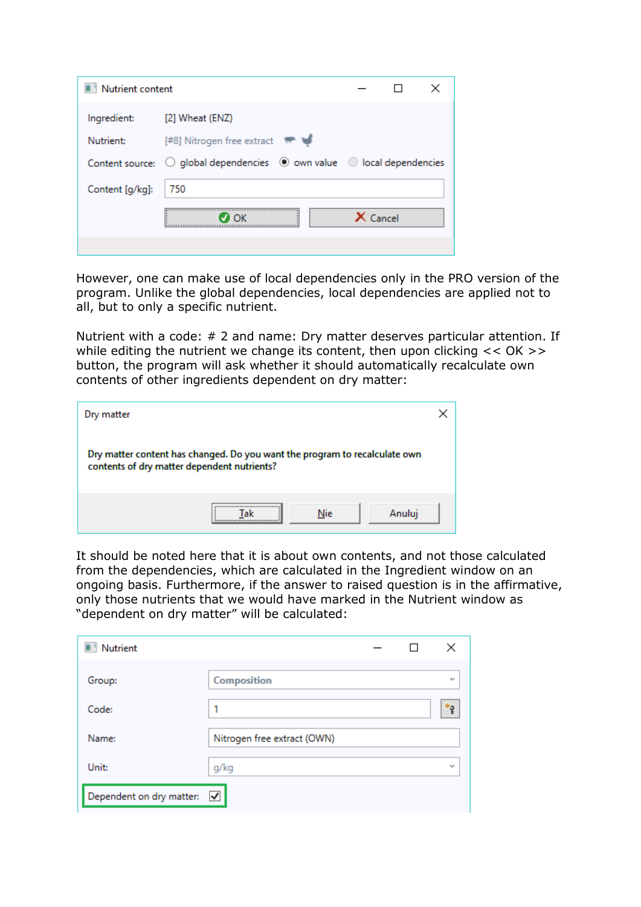| Nutrient content |                                                                                                   |            |  |
|------------------|---------------------------------------------------------------------------------------------------|------------|--|
| Ingredient:      | [2] Wheat (ENZ)                                                                                   |            |  |
| Nutrient:        | [#8] Nitrogen free extract #                                                                      |            |  |
|                  | Content source: $\bigcirc$ global dependencies $\bigcirc$ own value $\bigcirc$ local dependencies |            |  |
| Content [g/kg]:  | 750                                                                                               |            |  |
|                  | ∩ĸ                                                                                                | $X$ Cancel |  |
|                  |                                                                                                   |            |  |

However, one can make use of local dependencies only in the PRO version of the program. Unlike the global dependencies, local dependencies are applied not to all, but to only a specific nutrient.

Nutrient with a code: # 2 and name: Dry matter deserves particular attention. If while editing the nutrient we change its content, then upon clicking << OK >> button, the program will ask whether it should automatically recalculate own contents of other ingredients dependent on dry matter:

| Dry matter                                                                                                                |  |
|---------------------------------------------------------------------------------------------------------------------------|--|
| Dry matter content has changed. Do you want the program to recalculate own<br>contents of dry matter dependent nutrients? |  |
| Nie<br>Anuluj                                                                                                             |  |

It should be noted here that it is about own contents, and not those calculated from the dependencies, which are calculated in the Ingredient window on an ongoing basis. Furthermore, if the answer to raised question is in the affirmative, only those nutrients that we would have marked in the Nutrient window as "dependent on dry matter" will be calculated:

| Nutrient                 |                             |  | ×      |
|--------------------------|-----------------------------|--|--------|
| Group:                   | Composition                 |  | $\sim$ |
| Code:                    |                             |  | *2     |
| Name:                    | Nitrogen free extract (OWN) |  |        |
| Unit:                    | g/kg                        |  | $\sim$ |
| Dependent on dry matter: | $\overline{\mathbf{v}}$     |  |        |